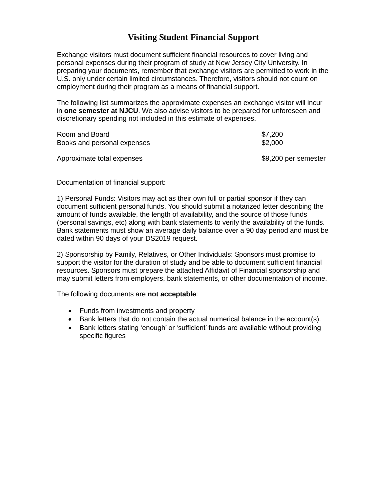## **Visiting Student Financial Support**

Exchange visitors must document sufficient financial resources to cover living and personal expenses during their program of study at New Jersey City University. In preparing your documents, remember that exchange visitors are permitted to work in the U.S. only under certain limited circumstances. Therefore, visitors should not count on employment during their program as a means of financial support.

The following list summarizes the approximate expenses an exchange visitor will incur in **one semester at NJCU**. We also advise visitors to be prepared for unforeseen and discretionary spending not included in this estimate of expenses.

| Room and Board              | \$7,200              |
|-----------------------------|----------------------|
| Books and personal expenses | \$2,000              |
| Approximate total expenses  | \$9,200 per semester |

Documentation of financial support:

1) Personal Funds: Visitors may act as their own full or partial sponsor if they can document sufficient personal funds. You should submit a notarized letter describing the amount of funds available, the length of availability, and the source of those funds (personal savings, etc) along with bank statements to verify the availability of the funds. Bank statements must show an average daily balance over a 90 day period and must be dated within 90 days of your DS2019 request.

2) Sponsorship by Family, Relatives, or Other Individuals: Sponsors must promise to support the visitor for the duration of study and be able to document sufficient financial resources. Sponsors must prepare the attached Affidavit of Financial sponsorship and may submit letters from employers, bank statements, or other documentation of income.

The following documents are **not acceptable**:

- Funds from investments and property
- Bank letters that do not contain the actual numerical balance in the account(s).
- Bank letters stating 'enough' or 'sufficient' funds are available without providing specific figures